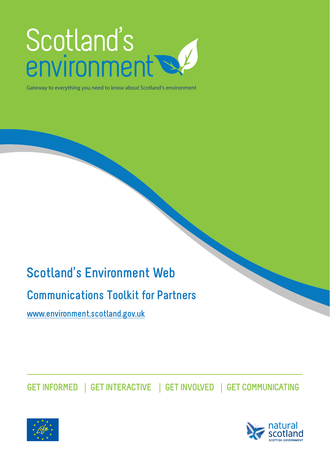# Scotland's<br>environment

Gateway to everything you need to know about Scotland's environment

## **Scotland's Environment Web**

## **Communications Toolkit for Partners**

**[www.environment.scotland.gov.uk](http://www.environment.scotland.gov.uk/)** 

**GET INFORMED** | **GET INTERACTIVE** | **GET INVOLVED** | **GET COMMUNICATING**



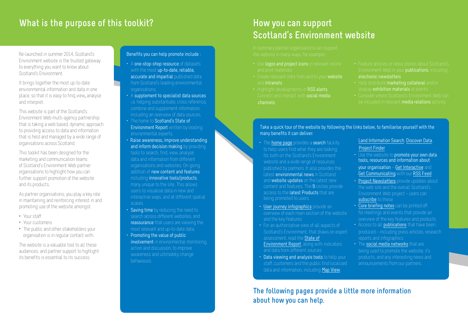## **What is the purpose of this toolkit?**

Re-launched in summer 2014, Scotland's Environment website is the trusted gateway to everything you want to know about Scotland's Environment.

It brings together the most up-to-date environmental information and data in one place, so that it is easy to find, view, analyse and interpret.

This website is part of the Scotland's Environment Web multi-agency partnership that is taking a web based, dynamic approach to providing access to data and information that is held and managed by a wide range of organisations across Scotland.

This toolkit has been designed for the marketing and communication teams of Scotland's Environment Web partner organisations to highlight how you can further support promotion of the website and its products.

As partner organisations, you play a key role in maintaining and reinforcing interest in and promoting use of the website amongst:

- Your staff
- Your customers
- The public and other stakeholders your organisation is in regular contact with.

The website is a valuable tool to all these audiences, and partner support to highlight its benefits is essential to its success.

#### Benefits you can help promote include :

- A one-stop-shop resource of datasets with the most up-to-date, reliable, accurate and impartial published data from Scotland's leading environmental organisations.
- A supplement to specialist data sources i.e. helping substantiate, cross reference, combine and supplement information, including an overview of data sources.
- The home to Scotland's State of Environment Report written by leading environmental experts.
- Raise awareness, improve understanding and inform decision making by providing tools to search, find, view, analyse data and information from different organisations and websites. On-going addition of new content and features including innovative tools/products, many unique to the site. This allows users to visualise data in new and interactive ways, and at different spatial scales.
- **Saving time** by reducing the need to search across different websites, and reassurance that users are viewing the most relevant and up-to-date data.
- Promoting the value of public involvement in environmental monitoring, action and discussion, to improve awareness and ultimately change behaviours.

## **How you can support Scotland's Environment website**

- Use logos and project icons in relevant online
- and intranets
- Highlight developments in RSS alerts, Connect and interact with social media
- Environment Web in your **publications**, including electronic newsletters
- Help distribute marketing collateral and/or
- be included in relevant media relations activity.

Take a quick tour of the website by following the links below, to familiarise yourself with the many benefits it can deliver:

- The **[home page](http://www.environment.scotland.gov.uk/)** provides a search facility to help users find what they are looking for, both on the Scotland's Environment website and a wide range of resources published by partners. It also provides the latest environmental news in Scotland and [website upda](http://www.environment.scotland.gov.uk/rss)tes on the latest new content and features. The 9 circles provide access to the latest Products that are being promoted to users.
- [User journey infographi](http://www.environment.scotland.gov.uk/about-us/user-journeys/)cs provide an overview of each main section of the website and the key features
- For an authoritative view of all aspects of Scotland's Environment, that draws on expert assessment, read the State of [Environment Report](http://www.environment.scotland.gov.uk/get-informed/), along with indicators and data from different sources
- Data viewing and analysis tools to help your staff, customers and the public find localised data and information, including [Map View](http://www.environment.scotland.gov.uk/get-interactive/map-view/),

[Land Information Search](http://map.environment.scotland.gov.uk/landinformationsearch/lis_map.html), [Discover Data](http://www.environment.scotland.gov.uk/get-interactive/discover-data/), [Project Finder](http://apps.environment.scotland.gov.uk/project-finder/)

- Use the website to promote your own data tools, resources and information about your organisation – [Get Interactive](http://www.environment.scotland.gov.uk/get-interactive/) and [Get Communicating](http://www.environment.scotland.gov.uk/get-communicating/) with our [RSS Feed](http://www.environment.scotland.gov.uk/rss)
- [Project Newsletters](http://www.environment.scotland.gov.uk/about-us/lifeplus-project/lifeplus-publications/) provide updates about the web site and the overall Scotland's Environment Web project – users can [subscribe](http://scotland.us2.list-manage1.com/subscribe?u=b0ad598a730185cb429741911&id=f17bc4c9c4) to these
- [Core briefing notes](http://www.environment.scotland.gov.uk/about-us/lifeplus-project/lifeplus-publications/) can be printed off for meetings and events that provide an overview of the key features and products
- Access to all **[publications](http://www.environment.scotland.gov.uk/about-us/lifeplus-project/lifeplus-publications/)** that have been produced – including press articles, research reports and infographics
- The [social media networks](http://www.environment.scotland.gov.uk/get-communicating/social-circles/) that are being used to promote the website, it's products, and any interesting news and announcements from our partners.

**The following pages provide a little more information about how you can help.**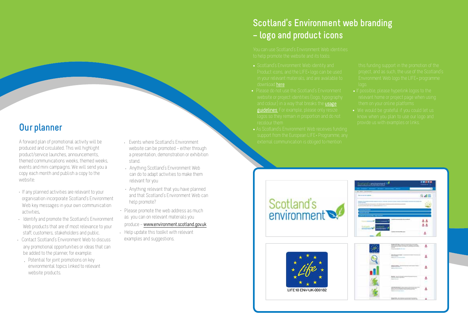## **Scotland's Environment web branding – logo and product icons**

- download [here](http://www.environment.scotland.gov.uk/about-us/how-to-use-this-website/)
- and colour) in a way that breaks the [usage](http://www.environment.scotland.gov.uk/about-us/how-to-use-this-website/) [guidelines](http://www.environment.scotland.gov.uk/about-us/how-to-use-this-website/). For example, please only resize
- 

- 
- 

## **Our planner**

A forward plan of promotional activity will be produced and circulated. This will highlight product/service launches, announcements, themed communications weeks, themed weeks, events and mini campaigns. We will send you a copy each month and publish a copy to the website:

- If any planned activities are relevant to your organisation incorporate Scotland's Environment Web key messages in your own communication activities.
- Identify and promote the Scotland's Environment Web products that are of most relevance to your staff, customers, stakeholders and public.
- Contact Scotland's Environment Web to discuss any promotional opportunities or ideas that can be added to the planner, for example: •
	- Potential for joint promotions on key environmental topics linked to relevant website products.
- Events where Scotland's Environment website can be promoted – either through a presentation, demonstration or exhibition stand.
- Anything Scotland's Environment Web can do to adapt activities to make them relevant for you
- Anything relevant that you have planned and that Scotland's Environment Web can help promote?
- Please promote the web address as much as you can on relevant materials you
- produce [www.environment.scotland.gov.uk](http://www.environment.scotland.gov.uk/)
- Help update this toolkit with relevant examples and suggestions.

Scotland's environment





|  | Concession and Constitution Secretary and<br>--                                   |  |
|--|-----------------------------------------------------------------------------------|--|
|  | SE SUITE<br>. .                                                                   |  |
|  | o est<br>w<br>×                                                                   |  |
|  | distances and control<br><b>Service State Avenue</b><br>--<br><b>Carl Adams</b>   |  |
|  | and a state of the state of<br><b>WINDOWS COMMUNIST</b><br>×<br><b>STATISTICS</b> |  |
|  | an and the state of the                                                           |  |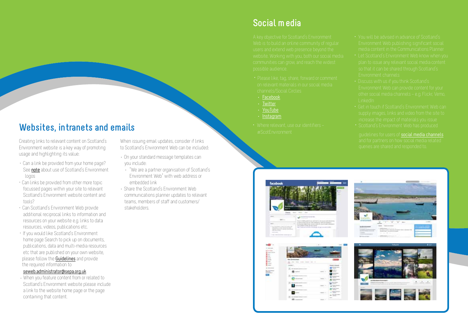## **Websites, intranets and emails**

Creating links to relevant content on Scotland's Environment website is a key way of promoting usage and highlighting its value:

- Can a link be provided from your home page? See [note](http://www.environment.scotland.gov.uk/about-us/how-to-use-this-website/) about use of Scotland's Environment logos
- Can links be provided from other more topic focussed pages within your site to relevant Scotland's Environment website content and tools?
- Can Scotland's Environment Web provide additional reciprocal links to information and resources on your website e.g. links to data resources, videos, publications etc.
- · If you would like Scotland's Environment home page Search to pick up on documents, publications, data and multi-media resources etc that are published on your own website, please follow the [Guidelines](http://www.environment.scotland.gov.uk/media/80701/scotlands-environment-web-adding-resources-to-the-search.pdf) and provide the required information to

#### seweb.administrator@sepa.org.uk

When you feature content from or related to • Scotland's Environment website please include a link to the website home page or the page containing that content.

When issuing email updates, consider if links to Scotland's Environment Web can be included:

- On your standard message templates can you include:
- $\ddot{\cdot}$  "We are a partner organisation of Scotland's Environment Web" with web address or embedded link
- Share the Scotland's Environment Web communications planner updates to relevant teams, members of staff and customers/ stakeholders.

## **Social media**

- 
- [Facebook](https://www.facebook.com/pages/Scotlands-Environment-Web/504094719673549)
- 
- [YouTube](https://www.youtube.com/channel/UCiZ305I-CzNGXAswk9rnamA)
- [Instagram](http://instagram.com/scotlandsenvironment)
- 
- 
- 
- 
- 
- 







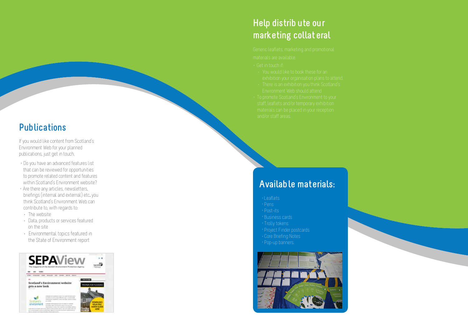## **Help distrib ute our marketing collat eral**

- 
- 
- 

# **Publications**

If you would like content from Scotland's Environment Web for your planned publications, just get in touch.

- Do you have an advanced features list that can be reviewed for opportunities to promote related content and features within Scotland's Environment website?
- Are the r e any articles, newsletters, briefings (internal and external) etc. you think Scotland's Environment Web can contribute to, with regards to:
- The website
- Data, products or services featured on the site
- Environmental topics featured in the State of Environment report



## **Available materials:**

- 
- 
- 
- 
- 
- 
- 
- 

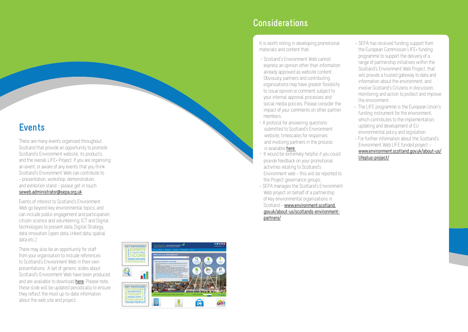## **Events**

There are many events organised throughout Scotland that provide an opportunity to promote Scotland's Environment website, its products, and the overall LIFE+ Project. If you are organising an event, or aware of any events that you think Scotland's Environment Web can contribute to – presentation, workshop, demonstration, and exhibition stand – please get in touch seweb.administrator@sepa.org.uk

Events of interest to Scotland's Environment Web go beyond key environmental topics, and can include public engagement and participation, citizen science and volunteering, ICT and Digital technologies to present data, Digital Strategy, data innovation (open data, linked data, spatial data etc.)

There may also be an opportunity for staff from your organisation to include references to Scotland's Environment Web in their own presentations. A set of generic slides about Scotland's Environment Web have been produced and are available to download [here](http://www.environment.scotland.gov.uk/media/79643/scotlands-environment-web-2014.pptx). Please note, the s e slide will be updated periodically to ensure they reflect the most up-to-date information about the web site and project.

### d's environment <sup>est</sup> **GET INFORMED**  $\overline{\phantom{a}}$  . Schematic of a street presentation ď **GET INVOLVED YOUTH DISCUSSION**<br>**UN GUUDANCE**<br>TOOLKIT 目

Q

YOUNG PEOPLE

## **Considerations**

It is worth noting in developing promotional materials and content that:

- Scotland's Environment Web cannot express an opinion other than information already approved as website content. Obviously, partners and contributing organisations may have greater flexibility to issue opinion or comment subject to your internal approval processes and social media policies. Please consider the impact of your comments on other partner members.
- submitted to Scotland's Environment<br>website, timescales for responses an d i n vol ving partners in the process is available [here](http://www.environment.scotland.gov.uk/media/80613/scotlands-environment-web-social-media-policy-responding-to-social-media-queries-2014.pdf). • A protocol for answering questions
- It would be extremely helpful if you could provide feedback on your promotional activities relating to Scotland's Environment web – this will be reported to the Project governance groups.
- SEPA manages the Scotland's Environment Web project on behalf of a partnership of key environmental organisations in Scotland – www.environment.scotland. gov.uk/about-us/scotlands-environmentpartners/
- SEPA has received funding support from the European Commission LIFE+ funding programme to support the delivery of a range of partnership initiatives within the Scotland's Environment Web Project, that will provide a trusted gateway to data and information about the environment, and involve Scotland's Citizens in discussion, monitoring and action to protect and improve the environment.
- The LIFE programme is the European Union's funding instrument for the environment, which contributes to the implementation. updating and development of EU environmental policy and legislation. For further information about the Scotland's • Environment Web LIFE funded project – www.environment.scotland.gov.uk/about-us/

lifeplus-project/